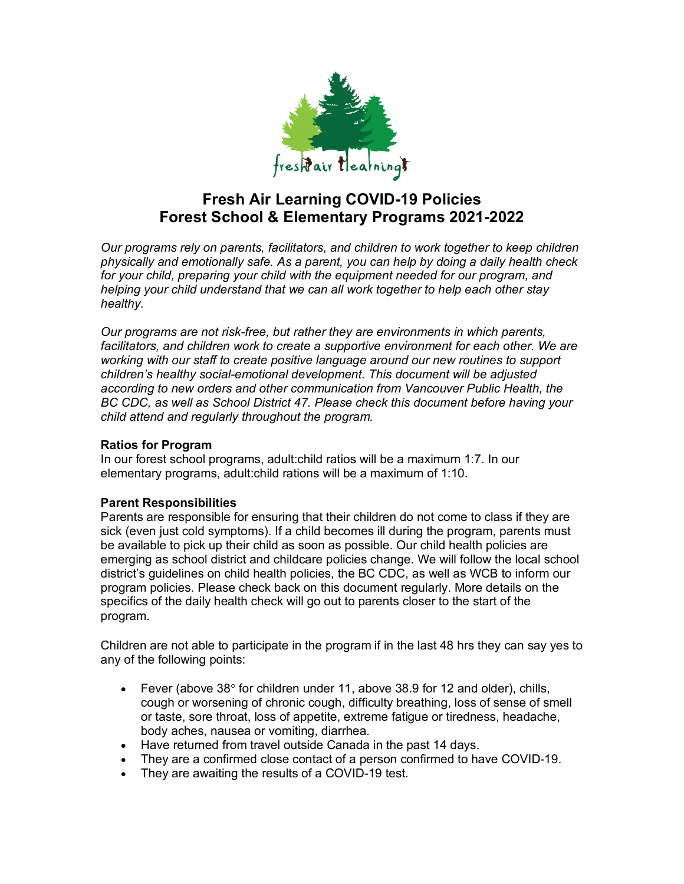

# **Fresh Air Learning COVID-19 Policies Forest School & Elementary Programs 2021-2022**

*Our programs rely on parents, facilitators, and children to work together to keep children physically and emotionally safe. As a parent, you can help by doing a daily health check for your child, preparing your child with the equipment needed for our program, and helping your child understand that we can all work together to help each other stay healthy.*

*Our programs are not risk-free, but rather they are environments in which parents,*  facilitators, and children work to create a supportive environment for each other. We are *working with our staff to create positive language around our new routines to support children's healthy social-emotional development. This document will be adjusted*  according to new orders and other communication from Vancouver Public Health, the *BC CDC, as well as School District 47. Please check this document before having your child attend and regularly throughout the program.*

# **Ratios for Program**

In our forest school programs, adult:child ratios will be a maximum 1:7. In our elementary programs, adult:child rations will be a maximum of 1:10.

# **Parent Responsibilities**

Parents are responsible for ensuring that their children do not come to class if they are sick (even just cold symptoms). If a child becomes ill during the program, parents must be available to pick up their child as soon as possible. Our child health policies are emerging as school district and childcare policies change. We will follow the local school district's guidelines on child health policies, the BC CDC, as well as WCB to inform our program policies. Please check back on this document regularly. More details on the specifics of the daily health check will go out to parents closer to the start of the program.

Children are not able to participate in the program if in the last 48 hrs they can say yes to any of the following points:

- Fever (above  $38^\circ$  for children under 11, above  $38.9$  for 12 and older), chills, cough or worsening of chronic cough, difficulty breathing, loss of sense of smell or taste, sore throat, loss of appetite, extreme fatigue or tiredness, headache, body aches, nausea or vomiting, diarrhea.
- Have returned from travel outside Canada in the past 14 days.
- They are a confirmed close contact of a person confirmed to have COVID-19.
- They are awaiting the results of a COVID-19 test.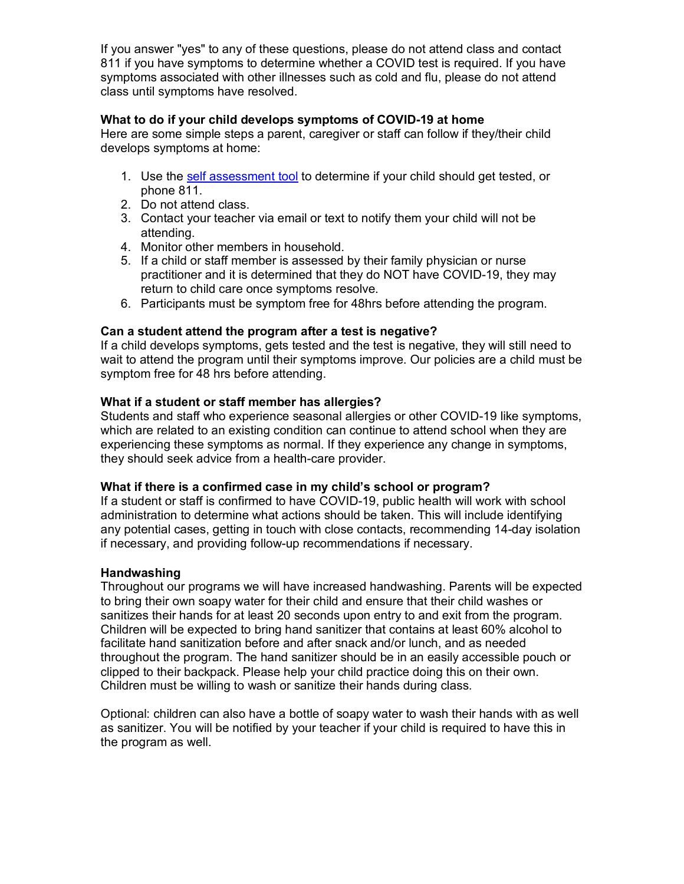If you answer "yes" to any of these questions, please do not attend class and contact 811 if you have symptoms to determine whether a COVID test is required. If you have symptoms associated with other illnesses such as cold and flu, please do not attend class until symptoms have resolved.

# **What to do if your child develops symptoms of COVID-19 at home**

Here are some simple steps a parent, caregiver or staff can follow if they/their child develops symptoms at home:

- 1. Use the self assessment tool to determine if your child should get tested, or phone 811.
- 2. Do not attend class.
- 3. Contact your teacher via email or text to notify them your child will not be attending.
- 4. Monitor other members in household.
- 5. If a child or staff member is assessed by their family physician or nurse practitioner and it is determined that they do NOT have COVID-19, they may return to child care once symptoms resolve.
- 6. Participants must be symptom free for 48hrs before attending the program.

#### **Can a student attend the program after a test is negative?**

If a child develops symptoms, gets tested and the test is negative, they will still need to wait to attend the program until their symptoms improve. Our policies are a child must be symptom free for 48 hrs before attending.

### **What if a student or staff member has allergies?**

Students and staff who experience seasonal allergies or other COVID-19 like symptoms, which are related to an existing condition can continue to attend school when they are experiencing these symptoms as normal. If they experience any change in symptoms, they should seek advice from a health-care provider.

#### **What if there is a confirmed case in my child's school or program?**

If a student or staff is confirmed to have COVID-19, public health will work with school administration to determine what actions should be taken. This will include identifying any potential cases, getting in touch with close contacts, recommending 14-day isolation if necessary, and providing follow-up recommendations if necessary.

#### **Handwashing**

Throughout our programs we will have increased handwashing. Parents will be expected to bring their own soapy water for their child and ensure that their child washes or sanitizes their hands for at least 20 seconds upon entry to and exit from the program. Children will be expected to bring hand sanitizer that contains at least 60% alcohol to facilitate hand sanitization before and after snack and/or lunch, and as needed throughout the program. The hand sanitizer should be in an easily accessible pouch or clipped to their backpack. Please help your child practice doing this on their own. Children must be willing to wash or sanitize their hands during class.

Optional: children can also have a bottle of soapy water to wash their hands with as well as sanitizer. You will be notified by your teacher if your child is required to have this in the program as well.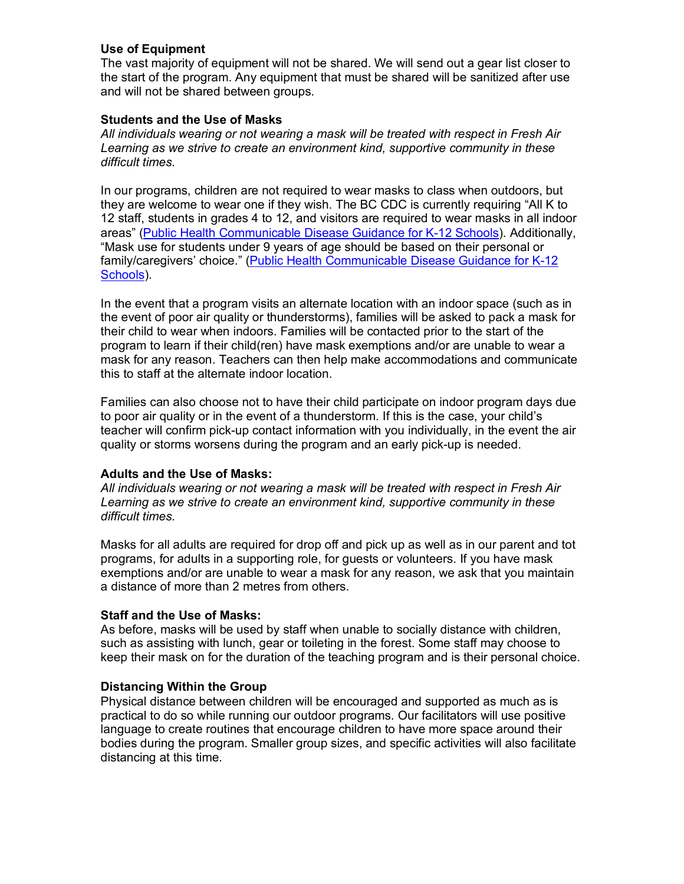# **Use of Equipment**

The vast majority of equipment will not be shared. We will send out a gear list closer to the start of the program. Any equipment that must be shared will be sanitized after use and will not be shared between groups.

#### **Students and the Use of Masks**

*All individuals wearing or not wearing a mask will be treated with respect in Fresh Air Learning as we strive to create an environment kind, supportive community in these difficult times.*

In our programs, children are not required to wear masks to class when outdoors, but they are welcome to wear one if they wish. The BC CDC is currently requiring "All K to 12 staff, students in grades 4 to 12, and visitors are required to wear masks in all indoor areas" (Public Health Communicable Disease Guidance for K-12 Schools). Additionally, "Mask use for students under 9 years of age should be based on their personal or family/caregivers' choice." (Public Health Communicable Disease Guidance for K-12 Schools).

In the event that a program visits an alternate location with an indoor space (such as in the event of poor air quality or thunderstorms), families will be asked to pack a mask for their child to wear when indoors. Families will be contacted prior to the start of the program to learn if their child(ren) have mask exemptions and/or are unable to wear a mask for any reason. Teachers can then help make accommodations and communicate this to staff at the alternate indoor location.

Families can also choose not to have their child participate on indoor program days due to poor air quality or in the event of a thunderstorm. If this is the case, your child's teacher will confirm pick-up contact information with you individually, in the event the air quality or storms worsens during the program and an early pick-up is needed.

#### **Adults and the Use of Masks:**

*All individuals wearing or not wearing a mask will be treated with respect in Fresh Air Learning as we strive to create an environment kind, supportive community in these difficult times.*

Masks for all adults are required for drop off and pick up as well as in our parent and tot programs, for adults in a supporting role, for guests or volunteers. If you have mask exemptions and/or are unable to wear a mask for any reason, we ask that you maintain a distance of more than 2 metres from others.

#### **Staff and the Use of Masks:**

As before, masks will be used by staff when unable to socially distance with children, such as assisting with lunch, gear or toileting in the forest. Some staff may choose to keep their mask on for the duration of the teaching program and is their personal choice.

#### **Distancing Within the Group**

Physical distance between children will be encouraged and supported as much as is practical to do so while running our outdoor programs. Our facilitators will use positive language to create routines that encourage children to have more space around their bodies during the program. Smaller group sizes, and specific activities will also facilitate distancing at this time.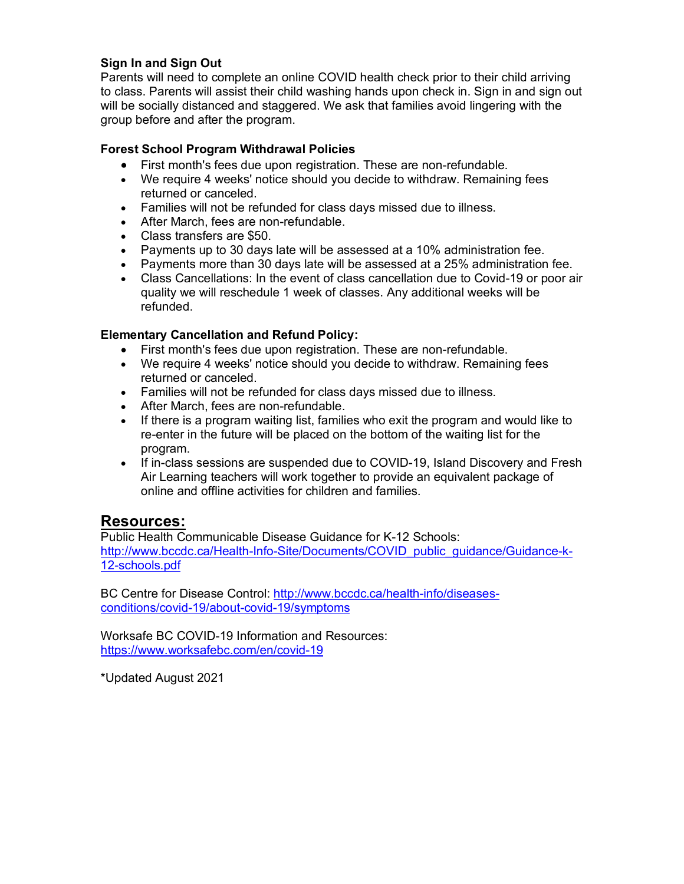# **Sign In and Sign Out**

Parents will need to complete an online COVID health check prior to their child arriving to class. Parents will assist their child washing hands upon check in. Sign in and sign out will be socially distanced and staggered. We ask that families avoid lingering with the group before and after the program.

# **Forest School Program Withdrawal Policies**

- First month's fees due upon registration. These are non-refundable.
- We require 4 weeks' notice should you decide to withdraw. Remaining fees returned or canceled.
- Families will not be refunded for class days missed due to illness.
- After March, fees are non-refundable.
- Class transfers are \$50.
- Payments up to 30 days late will be assessed at a 10% administration fee.
- Payments more than 30 days late will be assessed at a 25% administration fee.
- Class Cancellations: In the event of class cancellation due to Covid-19 or poor air quality we will reschedule 1 week of classes. Any additional weeks will be refunded.

### **Elementary Cancellation and Refund Policy:**

- First month's fees due upon registration. These are non-refundable.
- We require 4 weeks' notice should you decide to withdraw. Remaining fees returned or canceled.
- Families will not be refunded for class days missed due to illness.
- After March, fees are non-refundable.
- If there is a program waiting list, families who exit the program and would like to re-enter in the future will be placed on the bottom of the waiting list for the program.
- If in-class sessions are suspended due to COVID-19, Island Discovery and Fresh Air Learning teachers will work together to provide an equivalent package of online and offline activities for children and families.

# **Resources:**

Public Health Communicable Disease Guidance for K-12 Schools: http://www.bccdc.ca/Health-Info-Site/Documents/COVID\_public\_guidance/Guidance-k-12-schools.pdf

BC Centre for Disease Control: http://www.bccdc.ca/health-info/diseasesconditions/covid-19/about-covid-19/symptoms

Worksafe BC COVID-19 Information and Resources: https://www.worksafebc.com/en/covid-19

\*Updated August 2021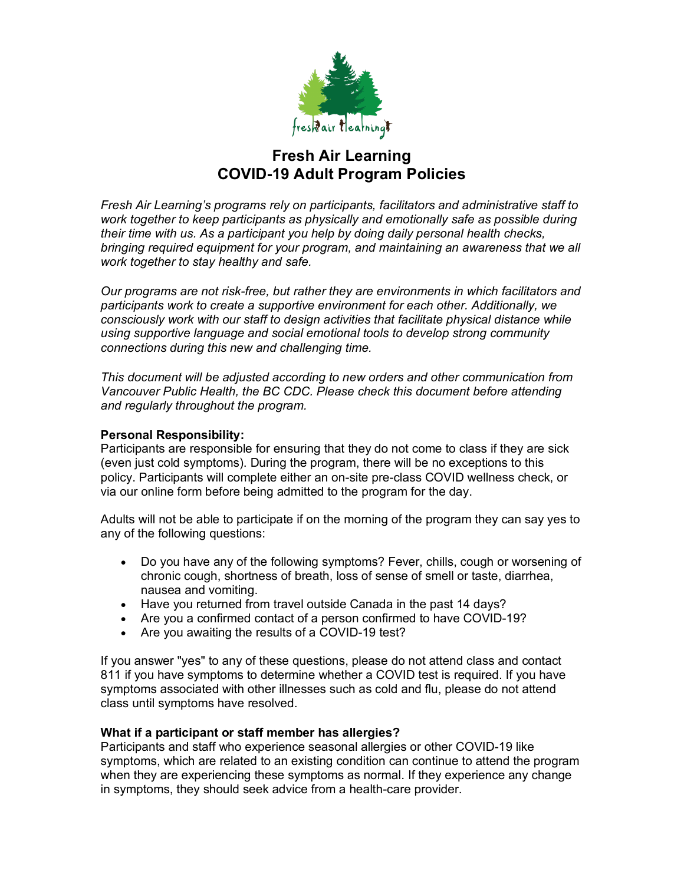

# **Fresh Air Learning COVID-19 Adult Program Policies**

*Fresh Air Learning's programs rely on participants, facilitators and administrative staff to work together to keep participants as physically and emotionally safe as possible during their time with us. As a participant you help by doing daily personal health checks, bringing required equipment for your program, and maintaining an awareness that we all work together to stay healthy and safe.*

*Our programs are not risk-free, but rather they are environments in which facilitators and participants work to create a supportive environment for each other. Additionally, we consciously work with our staff to design activities that facilitate physical distance while using supportive language and social emotional tools to develop strong community connections during this new and challenging time.*

*This document will be adjusted according to new orders and other communication from Vancouver Public Health, the BC CDC. Please check this document before attending and regularly throughout the program.*

# **Personal Responsibility:**

Participants are responsible for ensuring that they do not come to class if they are sick (even just cold symptoms). During the program, there will be no exceptions to this policy. Participants will complete either an on-site pre-class COVID wellness check, or via our online form before being admitted to the program for the day.

Adults will not be able to participate if on the morning of the program they can say yes to any of the following questions:

- Do you have any of the following symptoms? Fever, chills, cough or worsening of chronic cough, shortness of breath, loss of sense of smell or taste, diarrhea, nausea and vomiting.
- Have you returned from travel outside Canada in the past 14 days?
- Are you a confirmed contact of a person confirmed to have COVID-19?
- Are you awaiting the results of a COVID-19 test?

If you answer "yes" to any of these questions, please do not attend class and contact 811 if you have symptoms to determine whether a COVID test is required. If you have symptoms associated with other illnesses such as cold and flu, please do not attend class until symptoms have resolved.

# **What if a participant or staff member has allergies?**

Participants and staff who experience seasonal allergies or other COVID-19 like symptoms, which are related to an existing condition can continue to attend the program when they are experiencing these symptoms as normal. If they experience any change in symptoms, they should seek advice from a health-care provider.